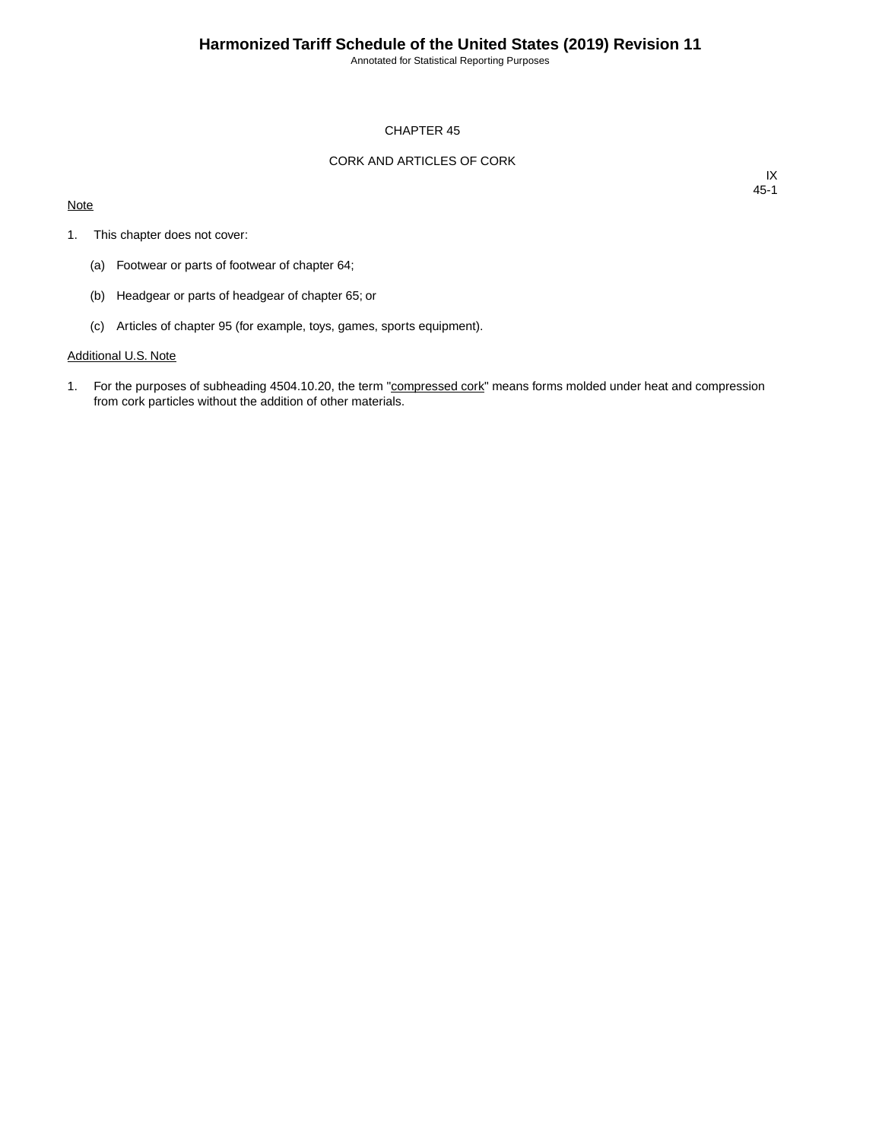Annotated for Statistical Reporting Purposes

#### CHAPTER 45

## CORK AND ARTICLES OF CORK

#### **Note**

IX 45-1

- 1. This chapter does not cover:
	- (a) Footwear or parts of footwear of chapter 64;
	- (b) Headgear or parts of headgear of chapter 65; or
	- (c) Articles of chapter 95 (for example, toys, games, sports equipment).

## Additional U.S. Note

1. For the purposes of subheading 4504.10.20, the term "compressed cork" means forms molded under heat and compression from cork particles without the addition of other materials.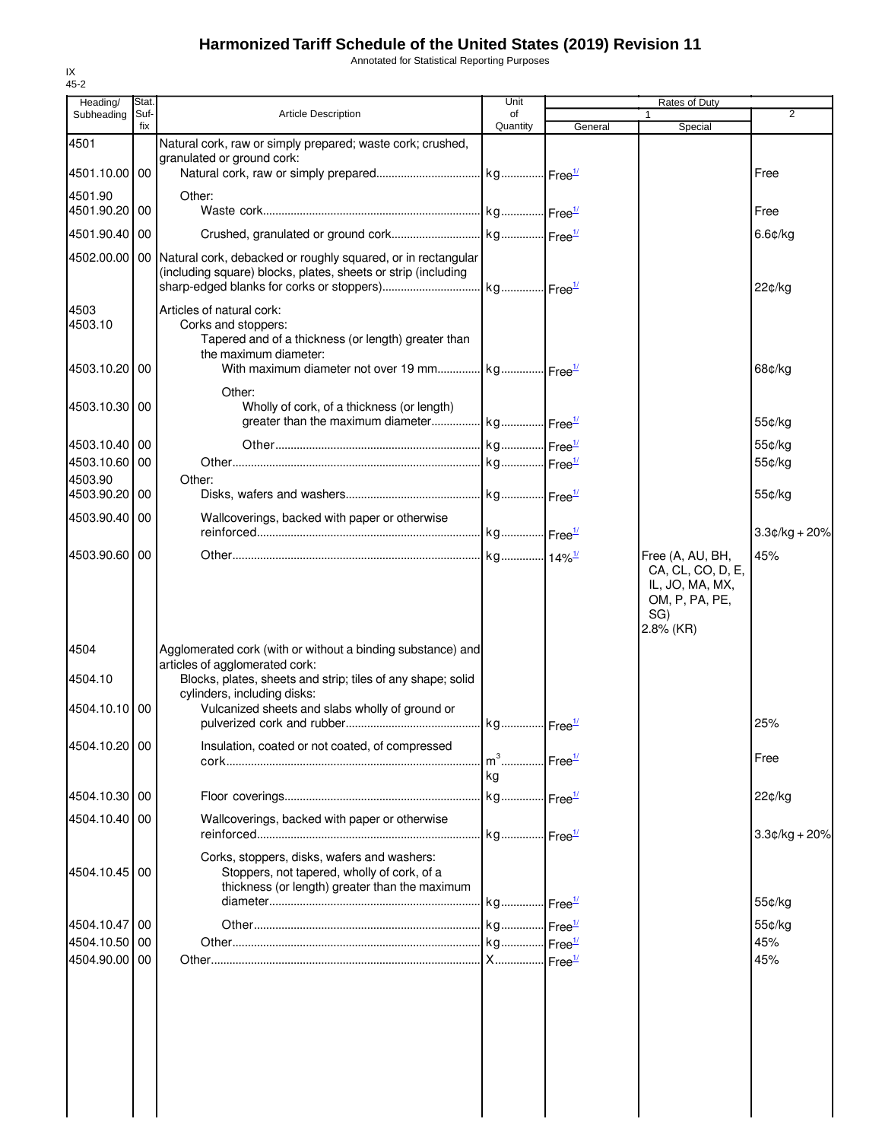# **Harmonized Tariff Schedule of the United States (2019) Revision 11**

Annotated for Statistical Reporting Purposes

| Heading/                    | Stat.       |                                                                                                       | Unit           | Rates of Duty      |                                       |                 |
|-----------------------------|-------------|-------------------------------------------------------------------------------------------------------|----------------|--------------------|---------------------------------------|-----------------|
| Subheading                  | Suf-<br>fix | <b>Article Description</b>                                                                            | of<br>Quantity | General            | 1<br>Special                          | $\overline{2}$  |
| 4501                        |             | Natural cork, raw or simply prepared; waste cork; crushed,                                            |                |                    |                                       |                 |
|                             |             | granulated or ground cork:                                                                            |                |                    |                                       |                 |
| 4501.10.00 00               |             |                                                                                                       |                |                    |                                       | Free            |
| 4501.90                     |             | Other:                                                                                                |                |                    |                                       |                 |
| 4501.90.20 00               |             |                                                                                                       |                |                    |                                       | Free            |
| 4501.90.40 00               |             |                                                                                                       |                |                    |                                       | 6.6¢/kg         |
|                             |             | 4502.00.00   00   Natural cork, debacked or roughly squared, or in rectangular                        |                |                    |                                       |                 |
|                             |             | (including square) blocks, plates, sheets or strip (including                                         |                |                    |                                       |                 |
|                             |             |                                                                                                       |                |                    |                                       | 22¢/kg          |
| 4503<br>4503.10             |             | Articles of natural cork:<br>Corks and stoppers:                                                      |                |                    |                                       |                 |
|                             |             | Tapered and of a thickness (or length) greater than                                                   |                |                    |                                       |                 |
|                             |             | the maximum diameter:                                                                                 |                |                    |                                       |                 |
| 4503.10.20 00               |             |                                                                                                       |                |                    |                                       | 68¢/kg          |
|                             |             | Other:                                                                                                |                |                    |                                       |                 |
| 4503.10.30 00               |             | Wholly of cork, of a thickness (or length)<br>greater than the maximum diameter kg Free <sup>1/</sup> |                |                    |                                       | 55¢/kg          |
|                             |             |                                                                                                       |                |                    |                                       |                 |
| 4503.10.40 00               |             |                                                                                                       |                |                    |                                       | 55¢/kg          |
| 4503.10.60 00<br>4503.90    |             | Other:                                                                                                |                |                    |                                       | 55¢/kg          |
| 4503.90.20 00               |             |                                                                                                       |                |                    |                                       | 55¢/kg          |
| 4503.90.40 00               |             | Wallcoverings, backed with paper or otherwise                                                         |                |                    |                                       |                 |
|                             |             |                                                                                                       |                |                    |                                       | $3.3¢/kg + 20%$ |
| 4503.90.60 00               |             |                                                                                                       |                |                    |                                       | 45%             |
|                             |             |                                                                                                       |                |                    | Free (A, AU, BH,<br>CA, CL, CO, D, E, |                 |
|                             |             |                                                                                                       |                |                    | IL, JO, MA, MX,                       |                 |
|                             |             |                                                                                                       |                |                    | OM, P, PA, PE,                        |                 |
|                             |             |                                                                                                       |                |                    | SG)<br>$2.8\%$ (KR)                   |                 |
| 4504                        |             | Agglomerated cork (with or without a binding substance) and                                           |                |                    |                                       |                 |
|                             |             | articles of agglomerated cork:                                                                        |                |                    |                                       |                 |
| 4504.10                     |             | Blocks, plates, sheets and strip; tiles of any shape; solid                                           |                |                    |                                       |                 |
| 4504.10.10 00               |             | cylinders, including disks:<br>Vulcanized sheets and slabs wholly of ground or                        |                |                    |                                       |                 |
|                             |             |                                                                                                       |                |                    |                                       | 25%             |
| 4504.10.20 00               |             | Insulation, coated or not coated, of compressed                                                       |                |                    |                                       |                 |
|                             |             |                                                                                                       | $m^3$          | Free <sup>1/</sup> |                                       | Free            |
|                             |             |                                                                                                       | kg             |                    |                                       |                 |
| 4504.10.30 00               |             |                                                                                                       |                |                    |                                       | 22¢/kg          |
| 4504.10.40 00               |             | Wallcoverings, backed with paper or otherwise                                                         |                |                    |                                       |                 |
|                             |             |                                                                                                       |                |                    |                                       | $3.3¢/kg + 20%$ |
|                             |             | Corks, stoppers, disks, wafers and washers:                                                           |                |                    |                                       |                 |
| 4504.10.45 00               |             | Stoppers, not tapered, wholly of cork, of a                                                           |                |                    |                                       |                 |
|                             |             | thickness (or length) greater than the maximum                                                        |                |                    |                                       | 55¢/kg          |
|                             |             |                                                                                                       |                |                    |                                       |                 |
| 4504.10.47 00<br>4504.10.50 | 00          |                                                                                                       |                |                    |                                       | 55¢/kg<br>45%   |
| 4504.90.00 00               |             |                                                                                                       |                |                    |                                       | 45%             |
|                             |             |                                                                                                       |                |                    |                                       |                 |
|                             |             |                                                                                                       |                |                    |                                       |                 |
|                             |             |                                                                                                       |                |                    |                                       |                 |
|                             |             |                                                                                                       |                |                    |                                       |                 |
|                             |             |                                                                                                       |                |                    |                                       |                 |
|                             |             |                                                                                                       |                |                    |                                       |                 |
|                             |             |                                                                                                       |                |                    |                                       |                 |
|                             |             |                                                                                                       |                |                    |                                       |                 |
|                             |             |                                                                                                       |                |                    |                                       |                 |

IX 45-2